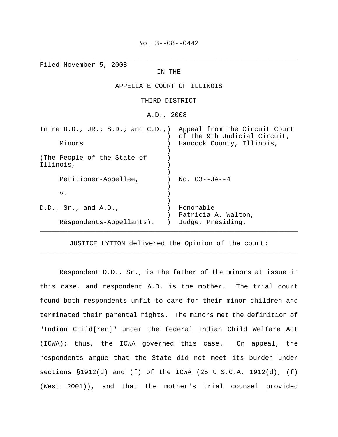\_\_\_\_\_\_\_\_\_\_\_\_\_\_\_\_\_\_\_\_\_\_\_\_\_\_\_\_\_\_\_\_\_\_\_\_\_\_\_\_\_\_\_\_\_\_\_\_\_\_\_\_\_\_\_\_\_\_\_\_\_\_\_\_\_

| Filed November 5, 2008<br>IN THE                               |                                  |
|----------------------------------------------------------------|----------------------------------|
| APPELLATE COURT OF ILLINOIS                                    |                                  |
| THIRD DISTRICT                                                 |                                  |
| A.D., 2008                                                     |                                  |
| In re D.D., JR.; S.D.; and C.D., appeal from the Circuit Court | of the 9th Judicial Circuit,     |
| Minors                                                         | Hancock County, Illinois,        |
| (The People of the State of<br>Illinois,                       |                                  |
| Petitioner-Appellee,                                           | $No. 03--JA--4$                  |
| v.                                                             |                                  |
| D.D., Sr., and A.D.,                                           | Honorable<br>Patricia A. Walton, |
| Respondents-Appellants).                                       | Judge, Presiding.                |

JUSTICE LYTTON delivered the Opinion of the court: \_\_\_\_\_\_\_\_\_\_\_\_\_\_\_\_\_\_\_\_\_\_\_\_\_\_\_\_\_\_\_\_\_\_\_\_\_\_\_\_\_\_\_\_\_\_\_\_\_\_\_\_\_\_\_\_\_\_\_\_\_\_\_\_\_

Respondent D.D., Sr., is the father of the minors at issue in this case, and respondent A.D. is the mother. The trial court found both respondents unfit to care for their minor children and terminated their parental rights. The minors met the definition of "Indian Child[ren]" under the federal Indian Child Welfare Act (ICWA); thus, the ICWA governed this case. On appeal, the respondents argue that the State did not meet its burden under sections §1912(d) and (f) of the ICWA (25 U.S.C.A. 1912(d), (f) (West 2001)), and that the mother's trial counsel provided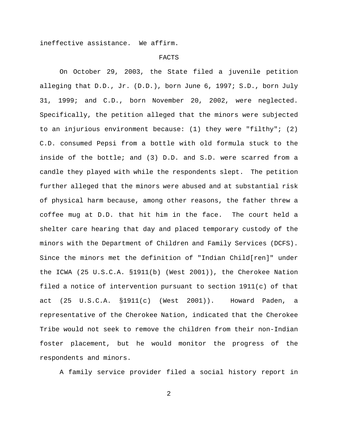ineffective assistance. We affirm.

#### FACTS

On October 29, 2003, the State filed a juvenile petition alleging that D.D., Jr. (D.D.), born June 6, 1997; S.D., born July 31, 1999; and C.D., born November 20, 2002, were neglected. Specifically, the petition alleged that the minors were subjected to an injurious environment because: (1) they were "filthy"; (2) C.D. consumed Pepsi from a bottle with old formula stuck to the inside of the bottle; and (3) D.D. and S.D. were scarred from a candle they played with while the respondents slept. The petition further alleged that the minors were abused and at substantial risk of physical harm because, among other reasons, the father threw a coffee mug at D.D. that hit him in the face. The court held a shelter care hearing that day and placed temporary custody of the minors with the Department of Children and Family Services (DCFS). Since the minors met the definition of "Indian Child[ren]" under the ICWA (25 U.S.C.A. §1911(b) (West 2001)), the Cherokee Nation filed a notice of intervention pursuant to section 1911(c) of that act (25 U.S.C.A. §1911(c) (West 2001)). Howard Paden, a representative of the Cherokee Nation, indicated that the Cherokee Tribe would not seek to remove the children from their non-Indian foster placement, but he would monitor the progress of the respondents and minors.

A family service provider filed a social history report in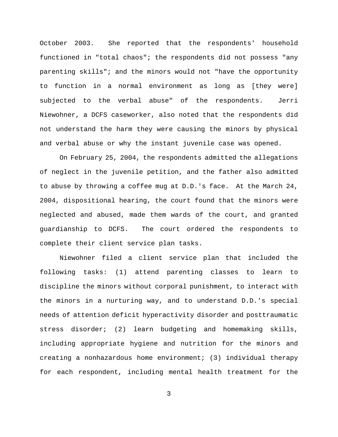October 2003. She reported that the respondents' household functioned in "total chaos"; the respondents did not possess "any parenting skills"; and the minors would not "have the opportunity to function in a normal environment as long as [they were] subjected to the verbal abuse" of the respondents. Jerri Niewohner, a DCFS caseworker, also noted that the respondents did not understand the harm they were causing the minors by physical and verbal abuse or why the instant juvenile case was opened.

On February 25, 2004, the respondents admitted the allegations of neglect in the juvenile petition, and the father also admitted to abuse by throwing a coffee mug at D.D.'s face. At the March 24, 2004, dispositional hearing, the court found that the minors were neglected and abused, made them wards of the court, and granted guardianship to DCFS. The court ordered the respondents to complete their client service plan tasks.

Niewohner filed a client service plan that included the following tasks: (1) attend parenting classes to learn to discipline the minors without corporal punishment, to interact with the minors in a nurturing way, and to understand D.D.'s special needs of attention deficit hyperactivity disorder and posttraumatic stress disorder; (2) learn budgeting and homemaking skills, including appropriate hygiene and nutrition for the minors and creating a nonhazardous home environment; (3) individual therapy for each respondent, including mental health treatment for the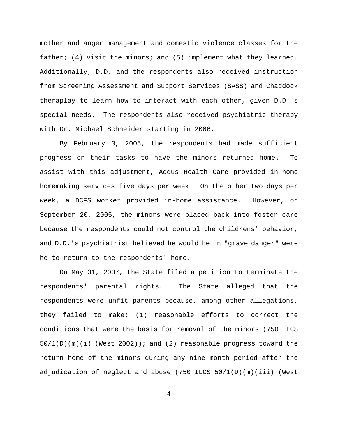mother and anger management and domestic violence classes for the father; (4) visit the minors; and (5) implement what they learned. Additionally, D.D. and the respondents also received instruction from Screening Assessment and Support Services (SASS) and Chaddock theraplay to learn how to interact with each other, given D.D.'s special needs. The respondents also received psychiatric therapy with Dr. Michael Schneider starting in 2006.

By February 3, 2005, the respondents had made sufficient progress on their tasks to have the minors returned home. To assist with this adjustment, Addus Health Care provided in-home homemaking services five days per week. On the other two days per week, a DCFS worker provided in-home assistance. However, on September 20, 2005, the minors were placed back into foster care because the respondents could not control the childrens' behavior, and D.D.'s psychiatrist believed he would be in "grave danger" were he to return to the respondents' home.

On May 31, 2007, the State filed a petition to terminate the respondents' parental rights. The State alleged that the respondents were unfit parents because, among other allegations, they failed to make: (1) reasonable efforts to correct the conditions that were the basis for removal of the minors (750 ILCS  $50/1(D)(m)(i)$  (West 2002)); and (2) reasonable progress toward the return home of the minors during any nine month period after the adjudication of neglect and abuse  $(750$  ILCS  $50/1(D)(m)(iii)$  (West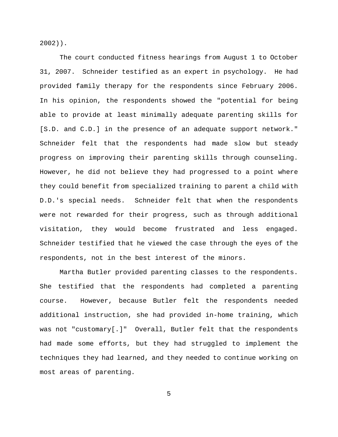2002)).

The court conducted fitness hearings from August 1 to October 31, 2007. Schneider testified as an expert in psychology. He had provided family therapy for the respondents since February 2006. In his opinion, the respondents showed the "potential for being able to provide at least minimally adequate parenting skills for [S.D. and C.D.] in the presence of an adequate support network." Schneider felt that the respondents had made slow but steady progress on improving their parenting skills through counseling. However, he did not believe they had progressed to a point where they could benefit from specialized training to parent a child with D.D.'s special needs. Schneider felt that when the respondents were not rewarded for their progress, such as through additional visitation, they would become frustrated and less engaged. Schneider testified that he viewed the case through the eyes of the respondents, not in the best interest of the minors.

Martha Butler provided parenting classes to the respondents. She testified that the respondents had completed a parenting course. However, because Butler felt the respondents needed additional instruction, she had provided in-home training, which was not "customary[.]" Overall, Butler felt that the respondents had made some efforts, but they had struggled to implement the techniques they had learned, and they needed to continue working on most areas of parenting.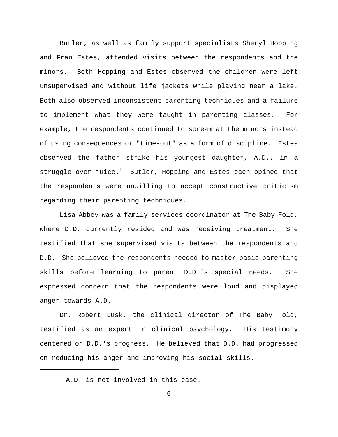Butler, as well as family support specialists Sheryl Hopping and Fran Estes, attended visits between the respondents and the minors. Both Hopping and Estes observed the children were left unsupervised and without life jackets while playing near a lake. Both also observed inconsistent parenting techniques and a failure to implement what they were taught in parenting classes. For example, the respondents continued to scream at the minors instead of using consequences or "time-out" as a form of discipline. Estes observed the father strike his youngest daughter, A.D., in a struggle over juice. $1$  Butler, Hopping and Estes each opined that the respondents were unwilling to accept constructive criticism regarding their parenting techniques.

Lisa Abbey was a family services coordinator at The Baby Fold, where D.D. currently resided and was receiving treatment. She testified that she supervised visits between the respondents and D.D. She believed the respondents needed to master basic parenting skills before learning to parent D.D.'s special needs. She expressed concern that the respondents were loud and displayed anger towards A.D.

Dr. Robert Lusk, the clinical director of The Baby Fold, testified as an expert in clinical psychology. His testimony centered on D.D.'s progress. He believed that D.D. had progressed on reducing his anger and improving his social skills.

 $1$  A.D. is not involved in this case.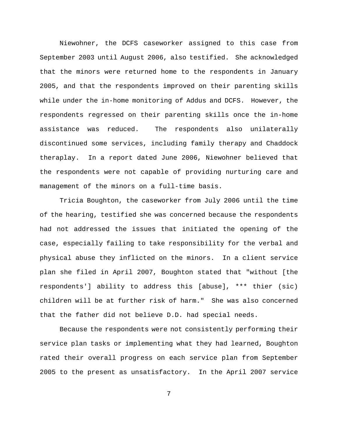Niewohner, the DCFS caseworker assigned to this case from September 2003 until August 2006, also testified. She acknowledged that the minors were returned home to the respondents in January 2005, and that the respondents improved on their parenting skills while under the in-home monitoring of Addus and DCFS. However, the respondents regressed on their parenting skills once the in-home assistance was reduced. The respondents also unilaterally discontinued some services, including family therapy and Chaddock theraplay. In a report dated June 2006, Niewohner believed that the respondents were not capable of providing nurturing care and management of the minors on a full-time basis.

Tricia Boughton, the caseworker from July 2006 until the time of the hearing, testified she was concerned because the respondents had not addressed the issues that initiated the opening of the case, especially failing to take responsibility for the verbal and physical abuse they inflicted on the minors. In a client service plan she filed in April 2007, Boughton stated that "without [the respondents'] ability to address this [abuse], \*\*\* thier (sic) children will be at further risk of harm." She was also concerned that the father did not believe D.D. had special needs.

Because the respondents were not consistently performing their service plan tasks or implementing what they had learned, Boughton rated their overall progress on each service plan from September 2005 to the present as unsatisfactory. In the April 2007 service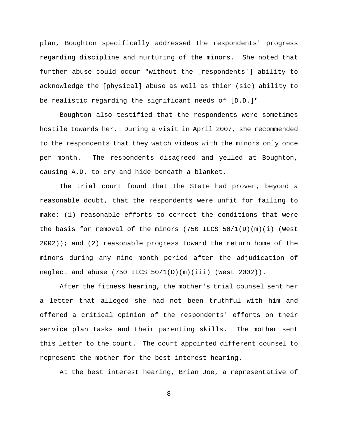plan, Boughton specifically addressed the respondents' progress regarding discipline and nurturing of the minors. She noted that further abuse could occur "without the [respondents'] ability to acknowledge the [physical] abuse as well as thier (sic) ability to be realistic regarding the significant needs of [D.D.]"

Boughton also testified that the respondents were sometimes hostile towards her. During a visit in April 2007, she recommended to the respondents that they watch videos with the minors only once per month. The respondents disagreed and yelled at Boughton, causing A.D. to cry and hide beneath a blanket.

The trial court found that the State had proven, beyond a reasonable doubt, that the respondents were unfit for failing to make: (1) reasonable efforts to correct the conditions that were the basis for removal of the minors  $(750$  ILCS  $50/1(D)(m)(i)$  (West  $2002$ )); and (2) reasonable progress toward the return home of the minors during any nine month period after the adjudication of neglect and abuse  $(750$  ILCS  $50/1(D)(m)(iii)$  (West 2002)).

After the fitness hearing, the mother's trial counsel sent her a letter that alleged she had not been truthful with him and offered a critical opinion of the respondents' efforts on their service plan tasks and their parenting skills. The mother sent this letter to the court. The court appointed different counsel to represent the mother for the best interest hearing.

At the best interest hearing, Brian Joe, a representative of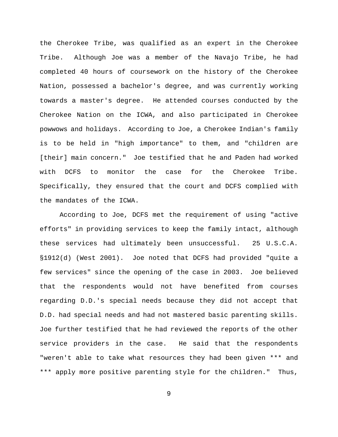the Cherokee Tribe, was qualified as an expert in the Cherokee Tribe. Although Joe was a member of the Navajo Tribe, he had completed 40 hours of coursework on the history of the Cherokee Nation, possessed a bachelor's degree, and was currently working towards a master's degree. He attended courses conducted by the Cherokee Nation on the ICWA, and also participated in Cherokee powwows and holidays. According to Joe, a Cherokee Indian's family is to be held in "high importance" to them, and "children are [their] main concern." Joe testified that he and Paden had worked with DCFS to monitor the case for the Cherokee Tribe. Specifically, they ensured that the court and DCFS complied with the mandates of the ICWA.

According to Joe, DCFS met the requirement of using "active efforts" in providing services to keep the family intact, although these services had ultimately been unsuccessful. 25 U.S.C.A. §1912(d) (West 2001). Joe noted that DCFS had provided "quite a few services" since the opening of the case in 2003. Joe believed that the respondents would not have benefited from courses regarding D.D.'s special needs because they did not accept that D.D. had special needs and had not mastered basic parenting skills. Joe further testified that he had reviewed the reports of the other service providers in the case. He said that the respondents "weren't able to take what resources they had been given \*\*\* and \*\*\* apply more positive parenting style for the children." Thus,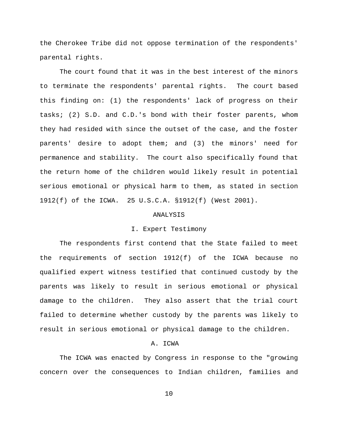the Cherokee Tribe did not oppose termination of the respondents' parental rights.

The court found that it was in the best interest of the minors to terminate the respondents' parental rights. The court based this finding on: (1) the respondents' lack of progress on their tasks; (2) S.D. and C.D.'s bond with their foster parents, whom they had resided with since the outset of the case, and the foster parents' desire to adopt them; and (3) the minors' need for permanence and stability. The court also specifically found that the return home of the children would likely result in potential serious emotional or physical harm to them, as stated in section 1912(f) of the ICWA. 25 U.S.C.A. §1912(f) (West 2001).

### ANALYSIS

# I. Expert Testimony

The respondents first contend that the State failed to meet the requirements of section 1912(f) of the ICWA because no qualified expert witness testified that continued custody by the parents was likely to result in serious emotional or physical damage to the children. They also assert that the trial court failed to determine whether custody by the parents was likely to result in serious emotional or physical damage to the children.

## A. ICWA

The ICWA was enacted by Congress in response to the "growing concern over the consequences to Indian children, families and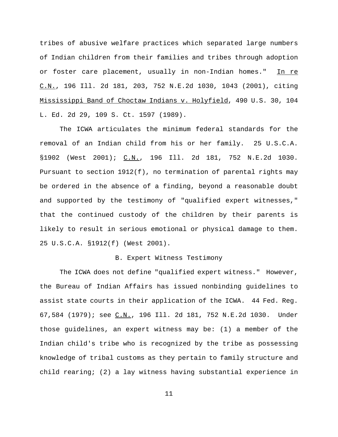tribes of abusive welfare practices which separated large numbers of Indian children from their families and tribes through adoption or foster care placement, usually in non-Indian homes." In re C.N., 196 Ill. 2d 181, 203, 752 N.E.2d 1030, 1043 (2001), citing Mississippi Band of Choctaw Indians v. Holyfield, 490 U.S. 30, 104 L. Ed. 2d 29, 109 S. Ct. 1597 (1989).

The ICWA articulates the minimum federal standards for the removal of an Indian child from his or her family. 25 U.S.C.A. §1902 (West 2001); C.N., 196 Ill. 2d 181, 752 N.E.2d 1030. Pursuant to section 1912(f), no termination of parental rights may be ordered in the absence of a finding, beyond a reasonable doubt and supported by the testimony of "qualified expert witnesses," that the continued custody of the children by their parents is likely to result in serious emotional or physical damage to them. 25 U.S.C.A. §1912(f) (West 2001).

# B. Expert Witness Testimony

The ICWA does not define "qualified expert witness." However, the Bureau of Indian Affairs has issued nonbinding guidelines to assist state courts in their application of the ICWA. 44 Fed. Reg. 67,584 (1979); see C.N., 196 Ill. 2d 181, 752 N.E.2d 1030. Under those guidelines, an expert witness may be: (1) a member of the Indian child's tribe who is recognized by the tribe as possessing knowledge of tribal customs as they pertain to family structure and child rearing; (2) a lay witness having substantial experience in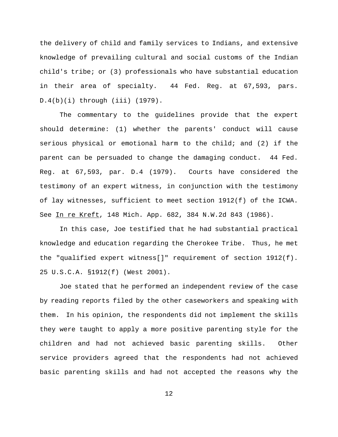the delivery of child and family services to Indians, and extensive knowledge of prevailing cultural and social customs of the Indian child's tribe; or (3) professionals who have substantial education in their area of specialty. 44 Fed. Reg. at 67,593, pars. D.4(b)(i) through (iii) (1979).

The commentary to the guidelines provide that the expert should determine: (1) whether the parents' conduct will cause serious physical or emotional harm to the child; and (2) if the parent can be persuaded to change the damaging conduct. 44 Fed. Reg. at 67,593, par. D.4 (1979). Courts have considered the testimony of an expert witness, in conjunction with the testimony of lay witnesses, sufficient to meet section 1912(f) of the ICWA. See In re Kreft, 148 Mich. App. 682, 384 N.W.2d 843 (1986).

In this case, Joe testified that he had substantial practical knowledge and education regarding the Cherokee Tribe. Thus, he met the "qualified expert witness[]" requirement of section 1912(f). 25 U.S.C.A. §1912(f) (West 2001).

Joe stated that he performed an independent review of the case by reading reports filed by the other caseworkers and speaking with them. In his opinion, the respondents did not implement the skills they were taught to apply a more positive parenting style for the children and had not achieved basic parenting skills. Other service providers agreed that the respondents had not achieved basic parenting skills and had not accepted the reasons why the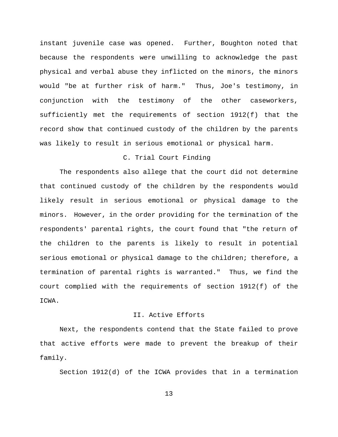instant juvenile case was opened. Further, Boughton noted that because the respondents were unwilling to acknowledge the past physical and verbal abuse they inflicted on the minors, the minors would "be at further risk of harm." Thus, Joe's testimony, in conjunction with the testimony of the other caseworkers, sufficiently met the requirements of section 1912(f) that the record show that continued custody of the children by the parents was likely to result in serious emotional or physical harm.

# C. Trial Court Finding

The respondents also allege that the court did not determine that continued custody of the children by the respondents would likely result in serious emotional or physical damage to the minors. However, in the order providing for the termination of the respondents' parental rights, the court found that "the return of the children to the parents is likely to result in potential serious emotional or physical damage to the children; therefore, a termination of parental rights is warranted." Thus, we find the court complied with the requirements of section 1912(f) of the ICWA.

#### II. Active Efforts

Next, the respondents contend that the State failed to prove that active efforts were made to prevent the breakup of their family.

Section 1912(d) of the ICWA provides that in a termination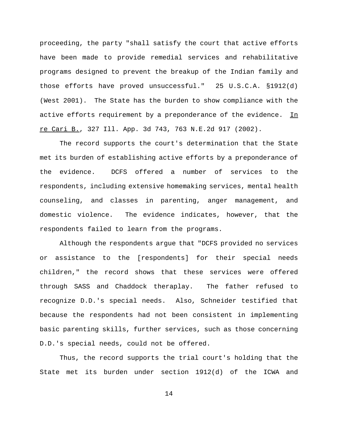proceeding, the party "shall satisfy the court that active efforts have been made to provide remedial services and rehabilitative programs designed to prevent the breakup of the Indian family and those efforts have proved unsuccessful." 25 U.S.C.A. §1912(d) (West 2001). The State has the burden to show compliance with the active efforts requirement by a preponderance of the evidence. In re Cari B., 327 Ill. App. 3d 743, 763 N.E.2d 917 (2002).

The record supports the court's determination that the State met its burden of establishing active efforts by a preponderance of the evidence. DCFS offered a number of services to the respondents, including extensive homemaking services, mental health counseling, and classes in parenting, anger management, and domestic violence. The evidence indicates, however, that the respondents failed to learn from the programs.

Although the respondents argue that "DCFS provided no services or assistance to the [respondents] for their special needs children," the record shows that these services were offered through SASS and Chaddock theraplay. The father refused to recognize D.D.'s special needs. Also, Schneider testified that because the respondents had not been consistent in implementing basic parenting skills, further services, such as those concerning D.D.'s special needs, could not be offered.

Thus, the record supports the trial court's holding that the State met its burden under section 1912(d) of the ICWA and